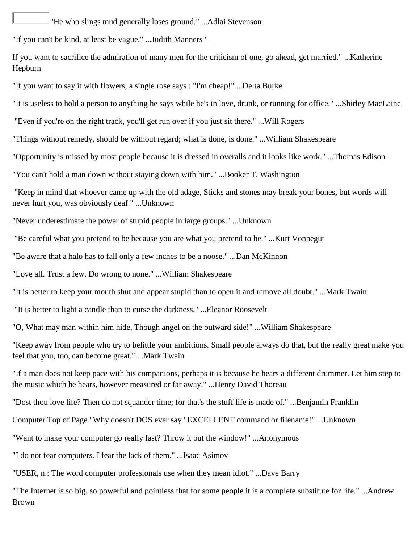"He who slings mud generally loses ground." ...Adlai Stevenson

"If you can't be kind, at least be vague." ...Judith Manners "

If you want to sacrifice the admiration of many men for the criticism of one, go ahead, get married." ...Katherine Hepburn

"If you want to say it with flowers, a single rose says : "I'm cheap!" ...Delta Burke

"It is useless to hold a person to anything he says while he's in love, drunk, or running for office." ...Shirley MacLaine

"Even if you're on the right track, you'll get run over if you just sit there." ...Will Rogers

"Things without remedy, should be without regard; what is done, is done." ...William Shakespeare

"Opportunity is missed by most people because it is dressed in overalls and it looks like work." ...Thomas Edison

"You can't hold a man down without staying down with him." ...Booker T. Washington

"Keep in mind that whoever came up with the old adage, Sticks and stones may break your bones, but words will never hurt you, was obviously deaf." ...Unknown

"Never underestimate the power of stupid people in large groups." ...Unknown

"Be careful what you pretend to be because you are what you pretend to be." ...Kurt Vonnegut

"Be aware that a halo has to fall only a few inches to be a noose." ...Dan McKinnon

"Love all. Trust a few. Do wrong to none." ...William Shakespeare

"It is better to keep your mouth shut and appear stupid than to open it and remove all doubt." ...Mark Twain

"It is better to light a candle than to curse the darkness." ...Eleanor Roosevelt

"O, What may man within him hide, Though angel on the outward side!" ...William Shakespeare

"Keep away from people who try to belittle your ambitions. Small people always do that, but the really great make you feel that you, too, can become great." ...Mark Twain

"If a man does not keep pace with his companions, perhaps it is because he hears a different drummer. Let him step to the music which he hears, however measured or far away." ...Henry David Thoreau

"Dost thou love life? Then do not squander time; for that's the stuff life is made of." ...Benjamin Franklin

Computer Top of Page "Why doesn't DOS ever say "EXCELLENT command or filename!" ...Unknown

"Want to make your computer go really fast? Throw it out the window!" ...Anonymous

"I do not fear computers. I fear the lack of them." ...Isaac Asimov

"USER, n.: The word computer professionals use when they mean idiot." ...Dave Barry

"The Internet is so big, so powerful and pointless that for some people it is a complete substitute for life." ...Andrew Brown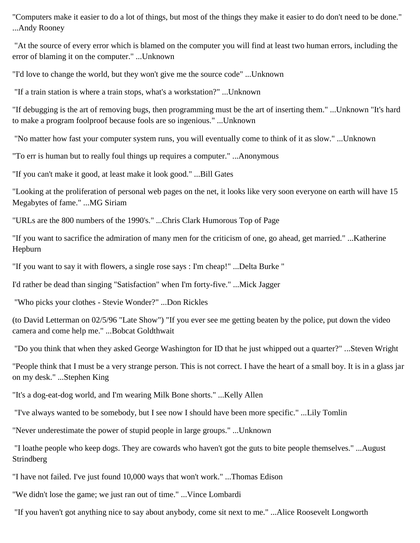"Computers make it easier to do a lot of things, but most of the things they make it easier to do don't need to be done." ...Andy Rooney

"At the source of every error which is blamed on the computer you will find at least two human errors, including the error of blaming it on the computer." ...Unknown

"I'd love to change the world, but they won't give me the source code" ...Unknown

"If a train station is where a train stops, what's a workstation?" ...Unknown

"If debugging is the art of removing bugs, then programming must be the art of inserting them." ...Unknown "It's hard to make a program foolproof because fools are so ingenious." ...Unknown

"No matter how fast your computer system runs, you will eventually come to think of it as slow." ...Unknown

"To err is human but to really foul things up requires a computer." ...Anonymous

"If you can't make it good, at least make it look good." ...Bill Gates

"Looking at the proliferation of personal web pages on the net, it looks like very soon everyone on earth will have 15 Megabytes of fame." ...MG Siriam

"URLs are the 800 numbers of the 1990's." ...Chris Clark Humorous Top of Page

"If you want to sacrifice the admiration of many men for the criticism of one, go ahead, get married." ...Katherine Hepburn

"If you want to say it with flowers, a single rose says : I'm cheap!" ...Delta Burke "

I'd rather be dead than singing "Satisfaction" when I'm forty-five." ...Mick Jagger

"Who picks your clothes - Stevie Wonder?" ...Don Rickles

(to David Letterman on 02/5/96 "Late Show") "If you ever see me getting beaten by the police, put down the video camera and come help me." ...Bobcat Goldthwait

"Do you think that when they asked George Washington for ID that he just whipped out a quarter?" ...Steven Wright

"People think that I must be a very strange person. This is not correct. I have the heart of a small boy. It is in a glass jar on my desk." ...Stephen King

"It's a dog-eat-dog world, and I'm wearing Milk Bone shorts." ...Kelly Allen

"I've always wanted to be somebody, but I see now I should have been more specific." ...Lily Tomlin

"Never underestimate the power of stupid people in large groups." ...Unknown

"I loathe people who keep dogs. They are cowards who haven't got the guts to bite people themselves." ...August Strindberg

"I have not failed. I've just found 10,000 ways that won't work." ...Thomas Edison

"We didn't lose the game; we just ran out of time." ...Vince Lombardi

"If you haven't got anything nice to say about anybody, come sit next to me." ...Alice Roosevelt Longworth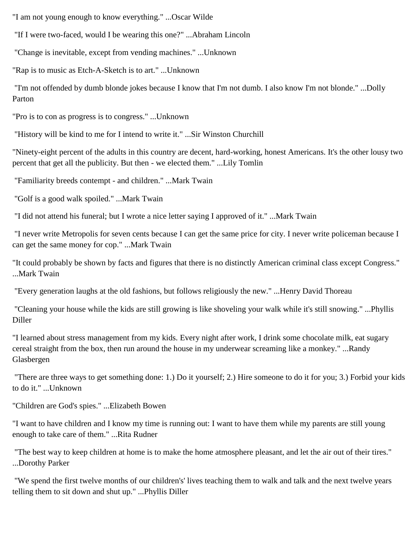"I am not young enough to know everything." ...Oscar Wilde

"If I were two-faced, would I be wearing this one?" ...Abraham Lincoln

"Change is inevitable, except from vending machines." ...Unknown

"Rap is to music as Etch-A-Sketch is to art." ...Unknown

"I'm not offended by dumb blonde jokes because I know that I'm not dumb. I also know I'm not blonde." ...Dolly Parton

"Pro is to con as progress is to congress." ...Unknown

"History will be kind to me for I intend to write it." ...Sir Winston Churchill

"Ninety-eight percent of the adults in this country are decent, hard-working, honest Americans. It's the other lousy two percent that get all the publicity. But then - we elected them." ...Lily Tomlin

"Familiarity breeds contempt - and children." ...Mark Twain

"Golf is a good walk spoiled." ...Mark Twain

"I did not attend his funeral; but I wrote a nice letter saying I approved of it." ...Mark Twain

"I never write Metropolis for seven cents because I can get the same price for city. I never write policeman because I can get the same money for cop." ...Mark Twain

"It could probably be shown by facts and figures that there is no distinctly American criminal class except Congress." ...Mark Twain

"Every generation laughs at the old fashions, but follows religiously the new." ...Henry David Thoreau

"Cleaning your house while the kids are still growing is like shoveling your walk while it's still snowing." ...Phyllis Diller

"I learned about stress management from my kids. Every night after work, I drink some chocolate milk, eat sugary cereal straight from the box, then run around the house in my underwear screaming like a monkey." ...Randy Glasbergen

"There are three ways to get something done: 1.) Do it yourself; 2.) Hire someone to do it for you; 3.) Forbid your kids to do it." ...Unknown

"Children are God's spies." ...Elizabeth Bowen

"I want to have children and I know my time is running out: I want to have them while my parents are still young enough to take care of them." ...Rita Rudner

"The best way to keep children at home is to make the home atmosphere pleasant, and let the air out of their tires." ...Dorothy Parker

"We spend the first twelve months of our children's' lives teaching them to walk and talk and the next twelve years telling them to sit down and shut up." ...Phyllis Diller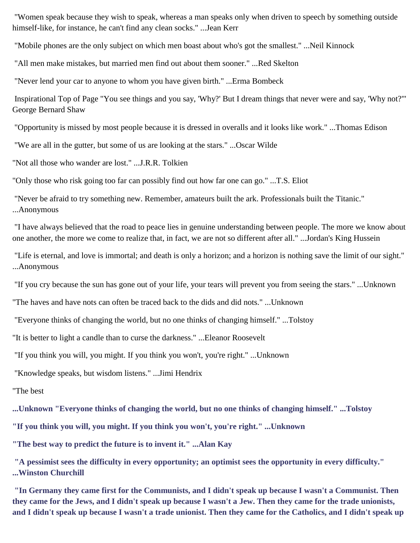"Women speak because they wish to speak, whereas a man speaks only when driven to speech by something outside himself-like, for instance, he can't find any clean socks." ...Jean Kerr

"Mobile phones are the only subject on which men boast about who's got the smallest." ...Neil Kinnock

"All men make mistakes, but married men find out about them sooner." ...Red Skelton

"Never lend your car to anyone to whom you have given birth." ...Erma Bombeck

Inspirational Top of Page "You see things and you say, 'Why?' But I dream things that never were and say, 'Why not?'" George Bernard Shaw

"Opportunity is missed by most people because it is dressed in overalls and it looks like work." ...Thomas Edison

"We are all in the gutter, but some of us are looking at the stars." ...Oscar Wilde

"Not all those who wander are lost." ...J.R.R. Tolkien

"Only those who risk going too far can possibly find out how far one can go." ...T.S. Eliot

"Never be afraid to try something new. Remember, amateurs built the ark. Professionals built the Titanic." ...Anonymous

"I have always believed that the road to peace lies in genuine understanding between people. The more we know about one another, the more we come to realize that, in fact, we are not so different after all." ...Jordan's King Hussein

"Life is eternal, and love is immortal; and death is only a horizon; and a horizon is nothing save the limit of our sight." ...Anonymous

"If you cry because the sun has gone out of your life, your tears will prevent you from seeing the stars." ...Unknown

"The haves and have nots can often be traced back to the dids and did nots." ...Unknown

"Everyone thinks of changing the world, but no one thinks of changing himself." ...Tolstoy

"It is better to light a candle than to curse the darkness." ...Eleanor Roosevelt

"If you think you will, you might. If you think you won't, you're right." ...Unknown

"Knowledge speaks, but wisdom listens." ...Jimi Hendrix

"The best

**...Unknown "Everyone thinks of changing the world, but no one thinks of changing himself." ...Tolstoy** 

**"If you think you will, you might. If you think you won't, you're right." ...Unknown** 

**"The best way to predict the future is to invent it." ...Alan Kay**

**"A pessimist sees the difficulty in every opportunity; an optimist sees the opportunity in every difficulty." ...Winston Churchill**

**"In Germany they came first for the Communists, and I didn't speak up because I wasn't a Communist. Then they came for the Jews, and I didn't speak up because I wasn't a Jew. Then they came for the trade unionists, and I didn't speak up because I wasn't a trade unionist. Then they came for the Catholics, and I didn't speak up**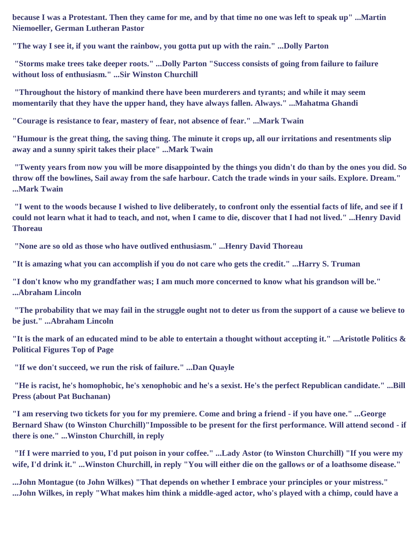**because I was a Protestant. Then they came for me, and by that time no one was left to speak up" ...Martin Niemoeller, German Lutheran Pastor** 

**"The way I see it, if you want the rainbow, you gotta put up with the rain." ...Dolly Parton**

**"Storms make trees take deeper roots." ...Dolly Parton "Success consists of going from failure to failure without loss of enthusiasm." ...Sir Winston Churchill**

**"Throughout the history of mankind there have been murderers and tyrants; and while it may seem momentarily that they have the upper hand, they have always fallen. Always." ...Mahatma Ghandi** 

**"Courage is resistance to fear, mastery of fear, not absence of fear." ...Mark Twain** 

**"Humour is the great thing, the saving thing. The minute it crops up, all our irritations and resentments slip away and a sunny spirit takes their place" ...Mark Twain**

**"Twenty years from now you will be more disappointed by the things you didn't do than by the ones you did. So throw off the bowlines, Sail away from the safe harbour. Catch the trade winds in your sails. Explore. Dream." ...Mark Twain**

**"I went to the woods because I wished to live deliberately, to confront only the essential facts of life, and see if I could not learn what it had to teach, and not, when I came to die, discover that I had not lived." ...Henry David Thoreau**

**"None are so old as those who have outlived enthusiasm." ...Henry David Thoreau** 

**"It is amazing what you can accomplish if you do not care who gets the credit." ...Harry S. Truman** 

**"I don't know who my grandfather was; I am much more concerned to know what his grandson will be." ...Abraham Lincoln**

**"The probability that we may fail in the struggle ought not to deter us from the support of a cause we believe to be just." ...Abraham Lincoln**

**"It is the mark of an educated mind to be able to entertain a thought without accepting it." ...Aristotle Politics & Political Figures Top of Page**

**"If we don't succeed, we run the risk of failure." ...Dan Quayle**

**"He is racist, he's homophobic, he's xenophobic and he's a sexist. He's the perfect Republican candidate." ...Bill Press (about Pat Buchanan)**

**"I am reserving two tickets for you for my premiere. Come and bring a friend - if you have one." ...George Bernard Shaw (to Winston Churchill)"Impossible to be present for the first performance. Will attend second - if there is one." ...Winston Churchill, in reply**

**"If I were married to you, I'd put poison in your coffee." ...Lady Astor (to Winston Churchill) "If you were my wife, I'd drink it." ...Winston Churchill, in reply "You will either die on the gallows or of a loathsome disease."** 

**...John Montague (to John Wilkes) "That depends on whether I embrace your principles or your mistress." ...John Wilkes, in reply "What makes him think a middle-aged actor, who's played with a chimp, could have a**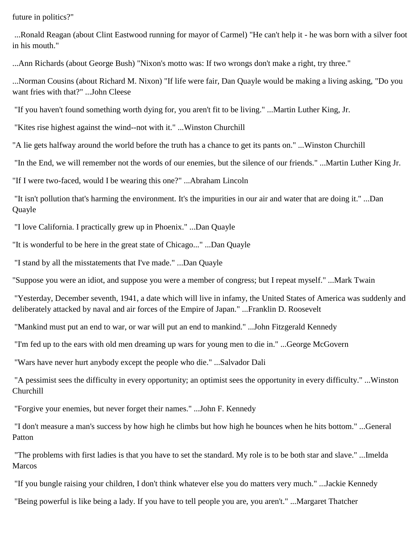future in politics?"

...Ronald Reagan (about Clint Eastwood running for mayor of Carmel) "He can't help it - he was born with a silver foot in his mouth."

...Ann Richards (about George Bush) "Nixon's motto was: If two wrongs don't make a right, try three."

...Norman Cousins (about Richard M. Nixon) "If life were fair, Dan Quayle would be making a living asking, "Do you want fries with that?" ...John Cleese

"If you haven't found something worth dying for, you aren't fit to be living." ...Martin Luther King, Jr.

"Kites rise highest against the wind--not with it." ...Winston Churchill

"A lie gets halfway around the world before the truth has a chance to get its pants on." ...Winston Churchill

"In the End, we will remember not the words of our enemies, but the silence of our friends." ...Martin Luther King Jr.

"If I were two-faced, would I be wearing this one?" ...Abraham Lincoln

"It isn't pollution that's harming the environment. It's the impurities in our air and water that are doing it." ...Dan Quayle

"I love California. I practically grew up in Phoenix." ...Dan Quayle

"It is wonderful to be here in the great state of Chicago..." ...Dan Quayle

"I stand by all the misstatements that I've made." ...Dan Quayle

"Suppose you were an idiot, and suppose you were a member of congress; but I repeat myself." ...Mark Twain

"Yesterday, December seventh, 1941, a date which will live in infamy, the United States of America was suddenly and deliberately attacked by naval and air forces of the Empire of Japan." ...Franklin D. Roosevelt

"Mankind must put an end to war, or war will put an end to mankind." ...John Fitzgerald Kennedy

"I'm fed up to the ears with old men dreaming up wars for young men to die in." ...George McGovern

"Wars have never hurt anybody except the people who die." ...Salvador Dali

"A pessimist sees the difficulty in every opportunity; an optimist sees the opportunity in every difficulty." ...Winston Churchill

"Forgive your enemies, but never forget their names." ...John F. Kennedy

"I don't measure a man's success by how high he climbs but how high he bounces when he hits bottom." ...General Patton

"The problems with first ladies is that you have to set the standard. My role is to be both star and slave." ...Imelda **Marcos** 

"If you bungle raising your children, I don't think whatever else you do matters very much." ...Jackie Kennedy

"Being powerful is like being a lady. If you have to tell people you are, you aren't." ...Margaret Thatcher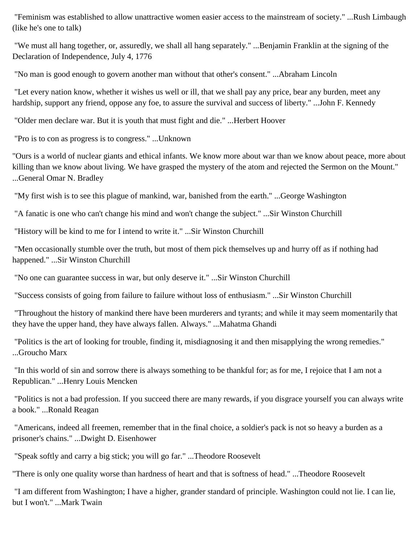"Feminism was established to allow unattractive women easier access to the mainstream of society." ...Rush Limbaugh (like he's one to talk)

"We must all hang together, or, assuredly, we shall all hang separately." ...Benjamin Franklin at the signing of the Declaration of Independence, July 4, 1776

"No man is good enough to govern another man without that other's consent." ...Abraham Lincoln

"Let every nation know, whether it wishes us well or ill, that we shall pay any price, bear any burden, meet any hardship, support any friend, oppose any foe, to assure the survival and success of liberty." ...John F. Kennedy

"Older men declare war. But it is youth that must fight and die." ...Herbert Hoover

"Pro is to con as progress is to congress." ...Unknown

"Ours is a world of nuclear giants and ethical infants. We know more about war than we know about peace, more about killing than we know about living. We have grasped the mystery of the atom and rejected the Sermon on the Mount." ...General Omar N. Bradley

"My first wish is to see this plague of mankind, war, banished from the earth." ...George Washington

"A fanatic is one who can't change his mind and won't change the subject." ...Sir Winston Churchill

"History will be kind to me for I intend to write it." ...Sir Winston Churchill

"Men occasionally stumble over the truth, but most of them pick themselves up and hurry off as if nothing had happened." ...Sir Winston Churchill

"No one can guarantee success in war, but only deserve it." ...Sir Winston Churchill

"Success consists of going from failure to failure without loss of enthusiasm." ...Sir Winston Churchill

"Throughout the history of mankind there have been murderers and tyrants; and while it may seem momentarily that they have the upper hand, they have always fallen. Always." ...Mahatma Ghandi

"Politics is the art of looking for trouble, finding it, misdiagnosing it and then misapplying the wrong remedies." ...Groucho Marx

"In this world of sin and sorrow there is always something to be thankful for; as for me, I rejoice that I am not a Republican." ...Henry Louis Mencken

"Politics is not a bad profession. If you succeed there are many rewards, if you disgrace yourself you can always write a book." ...Ronald Reagan

"Americans, indeed all freemen, remember that in the final choice, a soldier's pack is not so heavy a burden as a prisoner's chains." ...Dwight D. Eisenhower

"Speak softly and carry a big stick; you will go far." ...Theodore Roosevelt

"There is only one quality worse than hardness of heart and that is softness of head." ...Theodore Roosevelt

"I am different from Washington; I have a higher, grander standard of principle. Washington could not lie. I can lie, but I won't." ...Mark Twain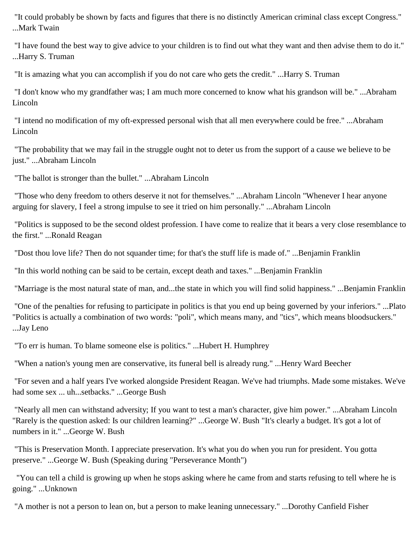"It could probably be shown by facts and figures that there is no distinctly American criminal class except Congress." ...Mark Twain

"I have found the best way to give advice to your children is to find out what they want and then advise them to do it." ...Harry S. Truman

"It is amazing what you can accomplish if you do not care who gets the credit." ...Harry S. Truman

"I don't know who my grandfather was; I am much more concerned to know what his grandson will be." ...Abraham Lincoln

"I intend no modification of my oft-expressed personal wish that all men everywhere could be free." ...Abraham Lincoln

"The probability that we may fail in the struggle ought not to deter us from the support of a cause we believe to be just." ...Abraham Lincoln

"The ballot is stronger than the bullet." ...Abraham Lincoln

"Those who deny freedom to others deserve it not for themselves." ...Abraham Lincoln "Whenever I hear anyone arguing for slavery, I feel a strong impulse to see it tried on him personally." ...Abraham Lincoln

"Politics is supposed to be the second oldest profession. I have come to realize that it bears a very close resemblance to the first." ...Ronald Reagan

"Dost thou love life? Then do not squander time; for that's the stuff life is made of." ...Benjamin Franklin

"In this world nothing can be said to be certain, except death and taxes." ...Benjamin Franklin

"Marriage is the most natural state of man, and...the state in which you will find solid happiness." ...Benjamin Franklin

"One of the penalties for refusing to participate in politics is that you end up being governed by your inferiors." ...Plato "Politics is actually a combination of two words: "poli", which means many, and "tics", which means bloodsuckers." ...Jay Leno

"To err is human. To blame someone else is politics." ...Hubert H. Humphrey

"When a nation's young men are conservative, its funeral bell is already rung." ...Henry Ward Beecher

"For seven and a half years I've worked alongside President Reagan. We've had triumphs. Made some mistakes. We've had some sex ... uh...setbacks." ...George Bush

"Nearly all men can withstand adversity; If you want to test a man's character, give him power." ...Abraham Lincoln "Rarely is the question asked: Is our children learning?" ...George W. Bush "It's clearly a budget. It's got a lot of numbers in it." ...George W. Bush

"This is Preservation Month. I appreciate preservation. It's what you do when you run for president. You gotta preserve." ...George W. Bush (Speaking during "Perseverance Month")

 "You can tell a child is growing up when he stops asking where he came from and starts refusing to tell where he is going." ...Unknown

"A mother is not a person to lean on, but a person to make leaning unnecessary." ...Dorothy Canfield Fisher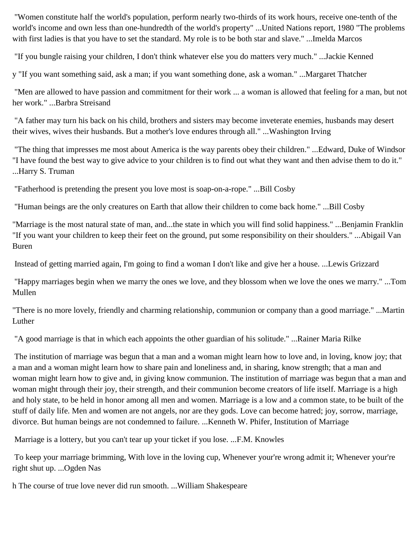"Women constitute half the world's population, perform nearly two-thirds of its work hours, receive one-tenth of the world's income and own less than one-hundredth of the world's property" ...United Nations report, 1980 "The problems with first ladies is that you have to set the standard. My role is to be both star and slave." ...Imelda Marcos

"If you bungle raising your children, I don't think whatever else you do matters very much." ...Jackie Kenned

y "If you want something said, ask a man; if you want something done, ask a woman." ...Margaret Thatcher

"Men are allowed to have passion and commitment for their work ... a woman is allowed that feeling for a man, but not her work." ...Barbra Streisand

"A father may turn his back on his child, brothers and sisters may become inveterate enemies, husbands may desert their wives, wives their husbands. But a mother's love endures through all." ...Washington Irving

"The thing that impresses me most about America is the way parents obey their children." ...Edward, Duke of Windsor "I have found the best way to give advice to your children is to find out what they want and then advise them to do it." ...Harry S. Truman

"Fatherhood is pretending the present you love most is soap-on-a-rope." ...Bill Cosby

"Human beings are the only creatures on Earth that allow their children to come back home." ...Bill Cosby

"Marriage is the most natural state of man, and...the state in which you will find solid happiness." ...Benjamin Franklin "If you want your children to keep their feet on the ground, put some responsibility on their shoulders." ...Abigail Van Buren

Instead of getting married again, I'm going to find a woman I don't like and give her a house. ...Lewis Grizzard

"Happy marriages begin when we marry the ones we love, and they blossom when we love the ones we marry." ...Tom Mullen

"There is no more lovely, friendly and charming relationship, communion or company than a good marriage." ...Martin Luther

"A good marriage is that in which each appoints the other guardian of his solitude." ...Rainer Maria Rilke

The institution of marriage was begun that a man and a woman might learn how to love and, in loving, know joy; that a man and a woman might learn how to share pain and loneliness and, in sharing, know strength; that a man and woman might learn how to give and, in giving know communion. The institution of marriage was begun that a man and woman might through their joy, their strength, and their communion become creators of life itself. Marriage is a high and holy state, to be held in honor among all men and women. Marriage is a low and a common state, to be built of the stuff of daily life. Men and women are not angels, nor are they gods. Love can become hatred; joy, sorrow, marriage, divorce. But human beings are not condemned to failure. ...Kenneth W. Phifer, Institution of Marriage

Marriage is a lottery, but you can't tear up your ticket if you lose. ...F.M. Knowles

To keep your marriage brimming, With love in the loving cup, Whenever your're wrong admit it; Whenever your're right shut up. ...Ogden Nas

h The course of true love never did run smooth. ...William Shakespeare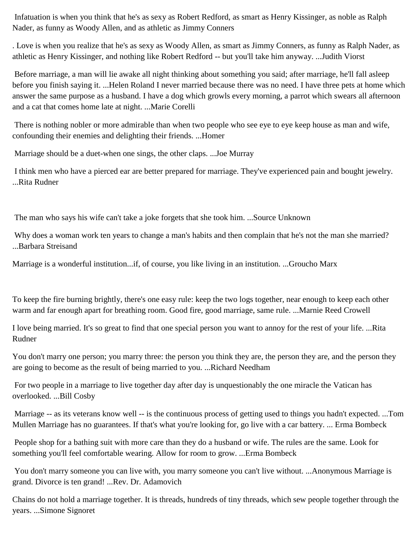Infatuation is when you think that he's as sexy as Robert Redford, as smart as Henry Kissinger, as noble as Ralph Nader, as funny as Woody Allen, and as athletic as Jimmy Conners

. Love is when you realize that he's as sexy as Woody Allen, as smart as Jimmy Conners, as funny as Ralph Nader, as athletic as Henry Kissinger, and nothing like Robert Redford -- but you'll take him anyway. ...Judith Viorst

Before marriage, a man will lie awake all night thinking about something you said; after marriage, he'll fall asleep before you finish saying it. ...Helen Roland I never married because there was no need. I have three pets at home which answer the same purpose as a husband. I have a dog which growls every morning, a parrot which swears all afternoon and a cat that comes home late at night. ...Marie Corelli

There is nothing nobler or more admirable than when two people who see eye to eye keep house as man and wife, confounding their enemies and delighting their friends. ...Homer

Marriage should be a duet-when one sings, the other claps. ...Joe Murray

I think men who have a pierced ear are better prepared for marriage. They've experienced pain and bought jewelry. ...Rita Rudner

The man who says his wife can't take a joke forgets that she took him. ...Source Unknown

Why does a woman work ten years to change a man's habits and then complain that he's not the man she married? ...Barbara Streisand

Marriage is a wonderful institution...if, of course, you like living in an institution. ...Groucho Marx

To keep the fire burning brightly, there's one easy rule: keep the two logs together, near enough to keep each other warm and far enough apart for breathing room. Good fire, good marriage, same rule. ...Marnie Reed Crowell

I love being married. It's so great to find that one special person you want to annoy for the rest of your life. ...Rita Rudner

You don't marry one person; you marry three: the person you think they are, the person they are, and the person they are going to become as the result of being married to you. ...Richard Needham

For two people in a marriage to live together day after day is unquestionably the one miracle the Vatican has overlooked. ...Bill Cosby

Marriage -- as its veterans know well -- is the continuous process of getting used to things you hadn't expected. ...Tom Mullen Marriage has no guarantees. If that's what you're looking for, go live with a car battery. ... Erma Bombeck

People shop for a bathing suit with more care than they do a husband or wife. The rules are the same. Look for something you'll feel comfortable wearing. Allow for room to grow. ...Erma Bombeck

You don't marry someone you can live with, you marry someone you can't live without. ...Anonymous Marriage is grand. Divorce is ten grand! ...Rev. Dr. Adamovich

Chains do not hold a marriage together. It is threads, hundreds of tiny threads, which sew people together through the years. ...Simone Signoret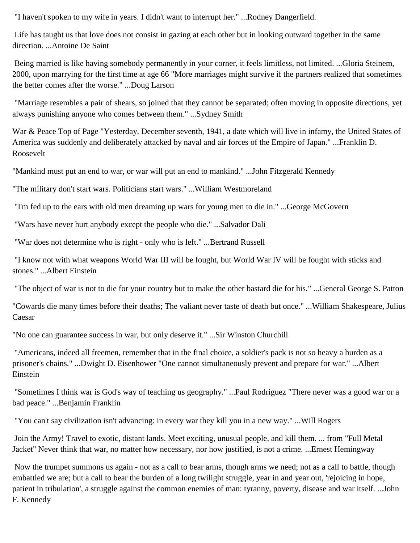"I haven't spoken to my wife in years. I didn't want to interrupt her." ...Rodney Dangerfield.

Life has taught us that love does not consist in gazing at each other but in looking outward together in the same direction. ...Antoine De Saint

Being married is like having somebody permanently in your corner, it feels limitless, not limited. ...Gloria Steinem, 2000, upon marrying for the first time at age 66 "More marriages might survive if the partners realized that sometimes the better comes after the worse." ...Doug Larson

"Marriage resembles a pair of shears, so joined that they cannot be separated; often moving in opposite directions, yet always punishing anyone who comes between them." ...Sydney Smith

War & Peace Top of Page "Yesterday, December seventh, 1941, a date which will live in infamy, the United States of America was suddenly and deliberately attacked by naval and air forces of the Empire of Japan." ...Franklin D. Roosevelt

"Mankind must put an end to war, or war will put an end to mankind." ...John Fitzgerald Kennedy

"The military don't start wars. Politicians start wars." ...William Westmoreland

"I'm fed up to the ears with old men dreaming up wars for young men to die in." ...George McGovern

"Wars have never hurt anybody except the people who die." ...Salvador Dali

"War does not determine who is right - only who is left." ...Bertrand Russell

"I know not with what weapons World War III will be fought, but World War IV will be fought with sticks and stones." ...Albert Einstein

"The object of war is not to die for your country but to make the other bastard die for his." ...General George S. Patton

"Cowards die many times before their deaths; The valiant never taste of death but once." ...William Shakespeare, Julius Caesar

"No one can guarantee success in war, but only deserve it." ...Sir Winston Churchill

"Americans, indeed all freemen, remember that in the final choice, a soldier's pack is not so heavy a burden as a prisoner's chains." ...Dwight D. Eisenhower "One cannot simultaneously prevent and prepare for war." ...Albert Einstein

"Sometimes I think war is God's way of teaching us geography." ...Paul Rodriguez "There never was a good war or a bad peace." ...Benjamin Franklin

"You can't say civilization isn't advancing: in every war they kill you in a new way." ...Will Rogers

Join the Army! Travel to exotic, distant lands. Meet exciting, unusual people, and kill them. ... from "Full Metal Jacket" Never think that war, no matter how necessary, nor how justified, is not a crime. ...Ernest Hemingway

Now the trumpet summons us again - not as a call to bear arms, though arms we need; not as a call to battle, though embattled we are; but a call to bear the burden of a long twilight struggle, year in and year out, 'rejoicing in hope, patient in tribulation', a struggle against the common enemies of man: tyranny, poverty, disease and war itself. ...John F. Kennedy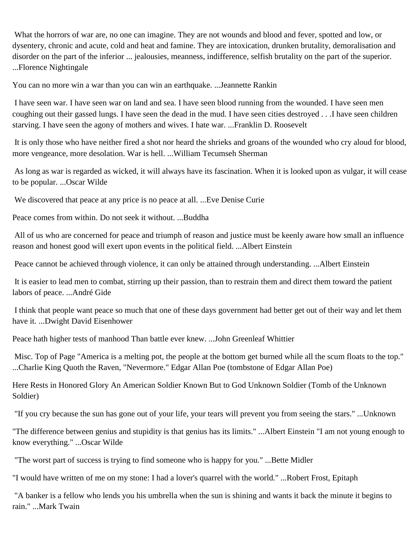What the horrors of war are, no one can imagine. They are not wounds and blood and fever, spotted and low, or dysentery, chronic and acute, cold and heat and famine. They are intoxication, drunken brutality, demoralisation and disorder on the part of the inferior ... jealousies, meanness, indifference, selfish brutality on the part of the superior. ...Florence Nightingale

You can no more win a war than you can win an earthquake. ...Jeannette Rankin

I have seen war. I have seen war on land and sea. I have seen blood running from the wounded. I have seen men coughing out their gassed lungs. I have seen the dead in the mud. I have seen cities destroyed . . .I have seen children starving. I have seen the agony of mothers and wives. I hate war. ...Franklin D. Roosevelt

It is only those who have neither fired a shot nor heard the shrieks and groans of the wounded who cry aloud for blood, more vengeance, more desolation. War is hell. ...William Tecumseh Sherman

As long as war is regarded as wicked, it will always have its fascination. When it is looked upon as vulgar, it will cease to be popular. ...Oscar Wilde

We discovered that peace at any price is no peace at all. ...Eve Denise Curie

Peace comes from within. Do not seek it without. ...Buddha

All of us who are concerned for peace and triumph of reason and justice must be keenly aware how small an influence reason and honest good will exert upon events in the political field. ...Albert Einstein

Peace cannot be achieved through violence, it can only be attained through understanding. ...Albert Einstein

It is easier to lead men to combat, stirring up their passion, than to restrain them and direct them toward the patient labors of peace. ...André Gide

I think that people want peace so much that one of these days government had better get out of their way and let them have it. ...Dwight David Eisenhower

Peace hath higher tests of manhood Than battle ever knew. ...John Greenleaf Whittier

Misc. Top of Page "America is a melting pot, the people at the bottom get burned while all the scum floats to the top." ...Charlie King Quoth the Raven, "Nevermore." Edgar Allan Poe (tombstone of Edgar Allan Poe)

Here Rests in Honored Glory An American Soldier Known But to God Unknown Soldier (Tomb of the Unknown Soldier)

"If you cry because the sun has gone out of your life, your tears will prevent you from seeing the stars." ...Unknown

"The difference between genius and stupidity is that genius has its limits." ...Albert Einstein "I am not young enough to know everything." ...Oscar Wilde

"The worst part of success is trying to find someone who is happy for you." ...Bette Midler

"I would have written of me on my stone: I had a lover's quarrel with the world." ...Robert Frost, Epitaph

"A banker is a fellow who lends you his umbrella when the sun is shining and wants it back the minute it begins to rain." ...Mark Twain